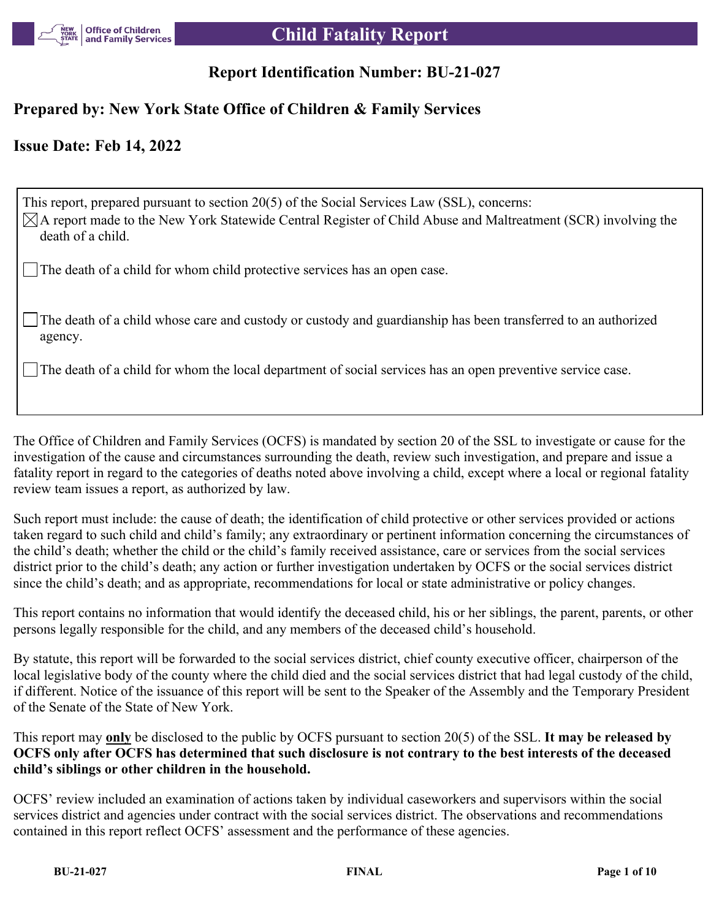

# **Report Identification Number: BU-21-027**

### **Prepared by: New York State Office of Children & Family Services**

## **Issue Date: Feb 14, 2022**

This report, prepared pursuant to section 20(5) of the Social Services Law (SSL), concerns:  $\boxtimes$ A report made to the New York Statewide Central Register of Child Abuse and Maltreatment (SCR) involving the death of a child.

The death of a child for whom child protective services has an open case.

The death of a child whose care and custody or custody and guardianship has been transferred to an authorized agency.

The death of a child for whom the local department of social services has an open preventive service case.

The Office of Children and Family Services (OCFS) is mandated by section 20 of the SSL to investigate or cause for the investigation of the cause and circumstances surrounding the death, review such investigation, and prepare and issue a fatality report in regard to the categories of deaths noted above involving a child, except where a local or regional fatality review team issues a report, as authorized by law.

Such report must include: the cause of death; the identification of child protective or other services provided or actions taken regard to such child and child's family; any extraordinary or pertinent information concerning the circumstances of the child's death; whether the child or the child's family received assistance, care or services from the social services district prior to the child's death; any action or further investigation undertaken by OCFS or the social services district since the child's death; and as appropriate, recommendations for local or state administrative or policy changes.

This report contains no information that would identify the deceased child, his or her siblings, the parent, parents, or other persons legally responsible for the child, and any members of the deceased child's household.

By statute, this report will be forwarded to the social services district, chief county executive officer, chairperson of the local legislative body of the county where the child died and the social services district that had legal custody of the child, if different. Notice of the issuance of this report will be sent to the Speaker of the Assembly and the Temporary President of the Senate of the State of New York.

This report may **only** be disclosed to the public by OCFS pursuant to section 20(5) of the SSL. **It may be released by OCFS only after OCFS has determined that such disclosure is not contrary to the best interests of the deceased child's siblings or other children in the household.**

OCFS' review included an examination of actions taken by individual caseworkers and supervisors within the social services district and agencies under contract with the social services district. The observations and recommendations contained in this report reflect OCFS' assessment and the performance of these agencies.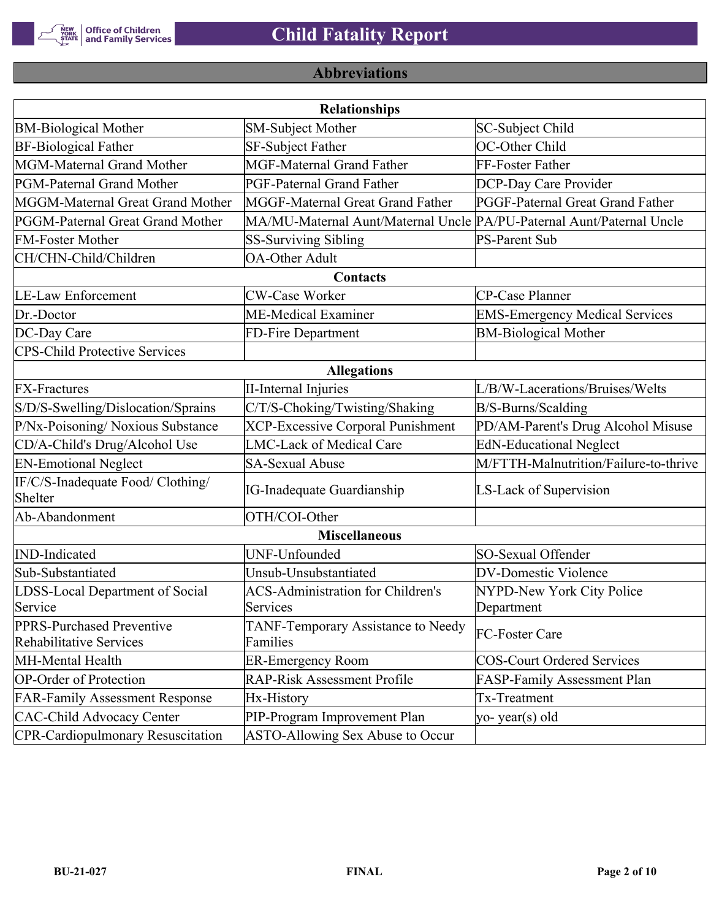

# **Abbreviations**

|                                                      | <b>Relationships</b>                                                  |                                       |
|------------------------------------------------------|-----------------------------------------------------------------------|---------------------------------------|
| <b>BM-Biological Mother</b>                          | <b>SM-Subject Mother</b>                                              | SC-Subject Child                      |
| <b>BF-Biological Father</b>                          | SF-Subject Father                                                     | OC-Other Child                        |
| MGM-Maternal Grand Mother                            | <b>MGF-Maternal Grand Father</b>                                      | FF-Foster Father                      |
| PGM-Paternal Grand Mother                            | <b>PGF-Paternal Grand Father</b>                                      | DCP-Day Care Provider                 |
| MGGM-Maternal Great Grand Mother                     | MGGF-Maternal Great Grand Father                                      | PGGF-Paternal Great Grand Father      |
| PGGM-Paternal Great Grand Mother                     | MA/MU-Maternal Aunt/Maternal Uncle PA/PU-Paternal Aunt/Paternal Uncle |                                       |
| <b>FM-Foster Mother</b>                              | <b>SS-Surviving Sibling</b>                                           | <b>PS-Parent Sub</b>                  |
| CH/CHN-Child/Children                                | <b>OA-Other Adult</b>                                                 |                                       |
|                                                      | Contacts                                                              |                                       |
| <b>LE-Law Enforcement</b>                            | <b>CW-Case Worker</b>                                                 | CP-Case Planner                       |
| Dr.-Doctor                                           | ME-Medical Examiner                                                   | <b>EMS-Emergency Medical Services</b> |
| DC-Day Care                                          | FD-Fire Department                                                    | <b>BM-Biological Mother</b>           |
| <b>CPS-Child Protective Services</b>                 |                                                                       |                                       |
|                                                      | <b>Allegations</b>                                                    |                                       |
| <b>FX-Fractures</b>                                  | <b>II-Internal Injuries</b>                                           | L/B/W-Lacerations/Bruises/Welts       |
| S/D/S-Swelling/Dislocation/Sprains                   | C/T/S-Choking/Twisting/Shaking                                        | B/S-Burns/Scalding                    |
| P/Nx-Poisoning/ Noxious Substance                    | <b>XCP-Excessive Corporal Punishment</b>                              | PD/AM-Parent's Drug Alcohol Misuse    |
| CD/A-Child's Drug/Alcohol Use                        | <b>LMC-Lack of Medical Care</b>                                       | <b>EdN-Educational Neglect</b>        |
| <b>EN-Emotional Neglect</b>                          | <b>SA-Sexual Abuse</b>                                                | M/FTTH-Malnutrition/Failure-to-thrive |
| IF/C/S-Inadequate Food/ Clothing/<br>Shelter         | <b>IG-Inadequate Guardianship</b>                                     | LS-Lack of Supervision                |
| Ab-Abandonment                                       | OTH/COI-Other                                                         |                                       |
|                                                      | <b>Miscellaneous</b>                                                  |                                       |
| <b>IND-Indicated</b>                                 | UNF-Unfounded                                                         | SO-Sexual Offender                    |
| Sub-Substantiated                                    | Unsub-Unsubstantiated                                                 | <b>DV-Domestic Violence</b>           |
| LDSS-Local Department of Social                      | <b>ACS-Administration for Children's</b>                              | NYPD-New York City Police             |
| Service                                              | Services                                                              | Department                            |
| PPRS-Purchased Preventive<br>Rehabilitative Services | TANF-Temporary Assistance to Needy<br>Families                        | FC-Foster Care                        |
| MH-Mental Health                                     | <b>ER-Emergency Room</b>                                              | <b>COS-Court Ordered Services</b>     |
| <b>OP-Order of Protection</b>                        | <b>RAP-Risk Assessment Profile</b>                                    | FASP-Family Assessment Plan           |
| <b>FAR-Family Assessment Response</b>                | Hx-History                                                            | Tx-Treatment                          |
| <b>CAC-Child Advocacy Center</b>                     | PIP-Program Improvement Plan                                          | yo-year(s) old                        |
| <b>CPR-Cardiopulmonary Resuscitation</b>             | ASTO-Allowing Sex Abuse to Occur                                      |                                       |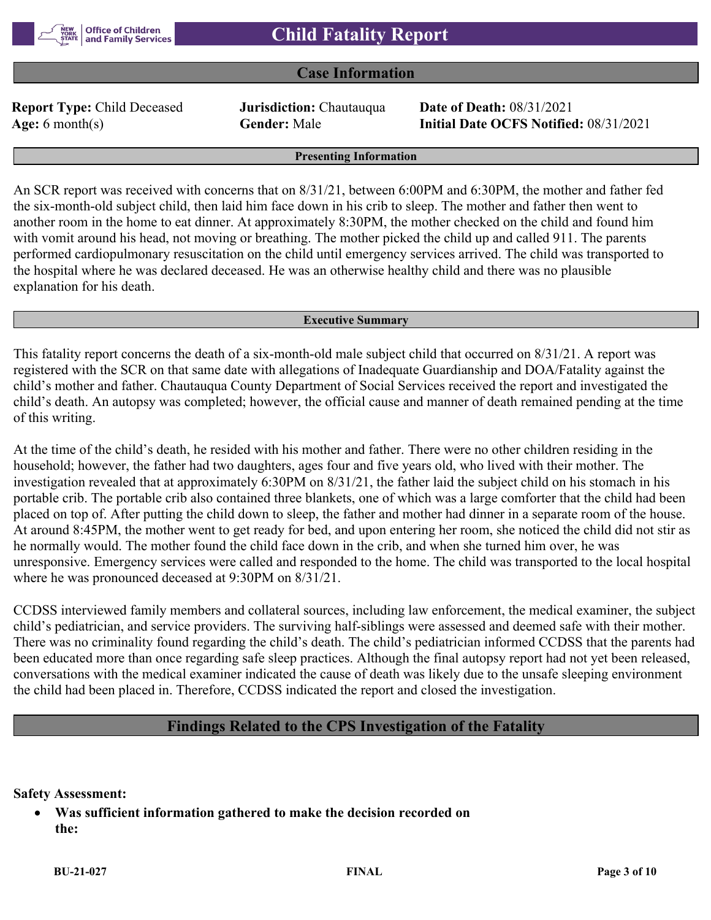### **Case Information**

**Report Type:** Child Deceased **Jurisdiction:** Chautauqua **Date of Death:** 08/31/2021

**Age:** 6 month(s) **Gender:** Male **Initial Date OCFS Notified:** 08/31/2021

#### **Presenting Information**

An SCR report was received with concerns that on 8/31/21, between 6:00PM and 6:30PM, the mother and father fed the six-month-old subject child, then laid him face down in his crib to sleep. The mother and father then went to another room in the home to eat dinner. At approximately 8:30PM, the mother checked on the child and found him with vomit around his head, not moving or breathing. The mother picked the child up and called 911. The parents performed cardiopulmonary resuscitation on the child until emergency services arrived. The child was transported to the hospital where he was declared deceased. He was an otherwise healthy child and there was no plausible explanation for his death.

#### **Executive Summary**

This fatality report concerns the death of a six-month-old male subject child that occurred on 8/31/21. A report was registered with the SCR on that same date with allegations of Inadequate Guardianship and DOA/Fatality against the child's mother and father. Chautauqua County Department of Social Services received the report and investigated the child's death. An autopsy was completed; however, the official cause and manner of death remained pending at the time of this writing.

At the time of the child's death, he resided with his mother and father. There were no other children residing in the household; however, the father had two daughters, ages four and five years old, who lived with their mother. The investigation revealed that at approximately 6:30PM on 8/31/21, the father laid the subject child on his stomach in his portable crib. The portable crib also contained three blankets, one of which was a large comforter that the child had been placed on top of. After putting the child down to sleep, the father and mother had dinner in a separate room of the house. At around 8:45PM, the mother went to get ready for bed, and upon entering her room, she noticed the child did not stir as he normally would. The mother found the child face down in the crib, and when she turned him over, he was unresponsive. Emergency services were called and responded to the home. The child was transported to the local hospital where he was pronounced deceased at 9:30PM on 8/31/21.

CCDSS interviewed family members and collateral sources, including law enforcement, the medical examiner, the subject child's pediatrician, and service providers. The surviving half-siblings were assessed and deemed safe with their mother. There was no criminality found regarding the child's death. The child's pediatrician informed CCDSS that the parents had been educated more than once regarding safe sleep practices. Although the final autopsy report had not yet been released, conversations with the medical examiner indicated the cause of death was likely due to the unsafe sleeping environment the child had been placed in. Therefore, CCDSS indicated the report and closed the investigation.

### **Findings Related to the CPS Investigation of the Fatality**

**Safety Assessment:**

 **Was sufficient information gathered to make the decision recorded on the:**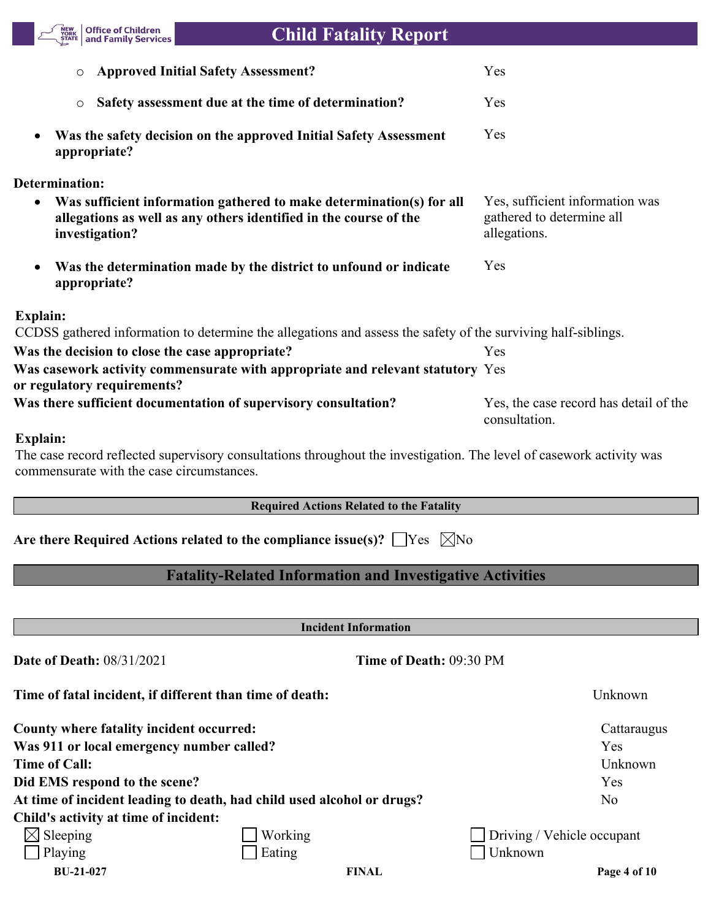

# **Child Fatality Report**

| <b>O</b> Approved Initial Safety Assessment?                                                                                                                             | Yes                                                                          |
|--------------------------------------------------------------------------------------------------------------------------------------------------------------------------|------------------------------------------------------------------------------|
| Safety assessment due at the time of determination?<br>$\circ$                                                                                                           | Yes                                                                          |
| Was the safety decision on the approved Initial Safety Assessment<br>$\bullet$<br>appropriate?                                                                           | Yes                                                                          |
| <b>Determination:</b>                                                                                                                                                    |                                                                              |
| Was sufficient information gathered to make determination(s) for all<br>$\bullet$<br>allegations as well as any others identified in the course of the<br>investigation? | Yes, sufficient information was<br>gathered to determine all<br>allegations. |
| Was the determination made by the district to unfound or indicate<br>$\bullet$<br>appropriate?                                                                           | Yes                                                                          |
| <b>Explain:</b>                                                                                                                                                          |                                                                              |
| CCDSS gathered information to determine the allegations and assess the safety of the surviving half-siblings.                                                            |                                                                              |
| Was the decision to close the case appropriate?                                                                                                                          | Yes                                                                          |
| Was casework activity commensurate with appropriate and relevant statutory Yes<br>or regulatory requirements?                                                            |                                                                              |
| Was there sufficient documentation of supervisory consultation?                                                                                                          | Yes, the case record has detail of the<br>consultation.                      |
| <b>Explain:</b>                                                                                                                                                          |                                                                              |
| The case record reflected supervisory consultations throughout the investigation. The level of casework activity was                                                     |                                                                              |

commensurate with the case circumstances.

#### **Required Actions Related to the Fatality**

| Are there Required Actions related to the compliance issue(s)? $\Box$ Yes $\Box$ No |  |  |  |  |  |
|-------------------------------------------------------------------------------------|--|--|--|--|--|
|-------------------------------------------------------------------------------------|--|--|--|--|--|

# **Fatality-Related Information and Investigative Activities**

**Incident Information**

| <b>Date of Death: 08/31/2021</b>          | Time of Death: 09:30 PM                                                |                            |
|-------------------------------------------|------------------------------------------------------------------------|----------------------------|
|                                           | Time of fatal incident, if different than time of death:               | Unknown                    |
| County where fatality incident occurred:  |                                                                        | Cattaraugus                |
| Was 911 or local emergency number called? |                                                                        | Yes                        |
| Time of Call:                             |                                                                        | Unknown                    |
| Did EMS respond to the scene?             |                                                                        | Yes                        |
|                                           | At time of incident leading to death, had child used alcohol or drugs? | N <sub>o</sub>             |
| Child's activity at time of incident:     |                                                                        |                            |
| $\boxtimes$ Sleeping                      | Working                                                                | Driving / Vehicle occupant |
| Playing                                   | Eating                                                                 | Unknown                    |
| <b>BU-21-027</b>                          | <b>FINAL</b>                                                           | Page 4 of 10               |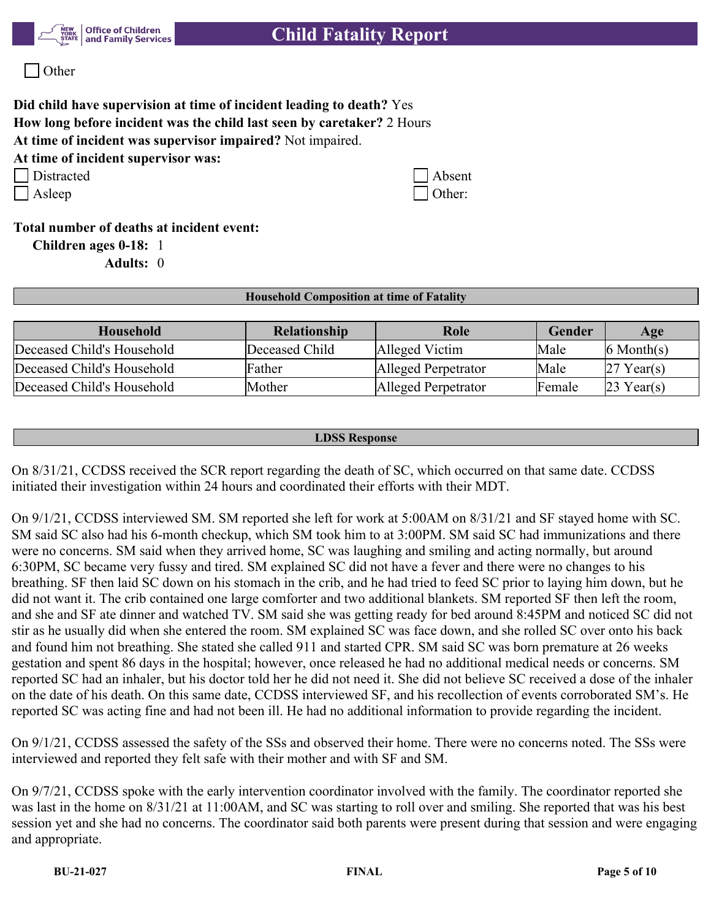

Other

## **Did child have supervision at time of incident leading to death?** Yes **How long before incident was the child last seen by caretaker?** 2 Hours **At time of incident was supervisor impaired?** Not impaired.

**At time of incident supervisor was:**

| Distracted | $ $ Absent |
|------------|------------|
|------------|------------|

| Distracted | $\Box$ Absent |
|------------|---------------|
| Asleep     | Other:        |

**Total number of deaths at incident event:**

**Children ages 0-18:** 1

**Adults:** 0

#### **Household Composition at time of Fatality**

| Household                  | Relationship   | Role                | Gender  | Age                    |
|----------------------------|----------------|---------------------|---------|------------------------|
| Deceased Child's Household | Deceased Child | Alleged Victim      | Male    | $ 6 \text{ Month}(s) $ |
| Deceased Child's Household | Father         | Alleged Perpetrator | Male    | Year(s)                |
| Deceased Child's Household | Mother         | Alleged Perpetrator | lFemale | Year(s)                |

#### **LDSS Response**

On 8/31/21, CCDSS received the SCR report regarding the death of SC, which occurred on that same date. CCDSS initiated their investigation within 24 hours and coordinated their efforts with their MDT.

On 9/1/21, CCDSS interviewed SM. SM reported she left for work at 5:00AM on 8/31/21 and SF stayed home with SC. SM said SC also had his 6-month checkup, which SM took him to at 3:00PM. SM said SC had immunizations and there were no concerns. SM said when they arrived home, SC was laughing and smiling and acting normally, but around 6:30PM, SC became very fussy and tired. SM explained SC did not have a fever and there were no changes to his breathing. SF then laid SC down on his stomach in the crib, and he had tried to feed SC prior to laying him down, but he did not want it. The crib contained one large comforter and two additional blankets. SM reported SF then left the room, and she and SF ate dinner and watched TV. SM said she was getting ready for bed around 8:45PM and noticed SC did not stir as he usually did when she entered the room. SM explained SC was face down, and she rolled SC over onto his back and found him not breathing. She stated she called 911 and started CPR. SM said SC was born premature at 26 weeks gestation and spent 86 days in the hospital; however, once released he had no additional medical needs or concerns. SM reported SC had an inhaler, but his doctor told her he did not need it. She did not believe SC received a dose of the inhaler on the date of his death. On this same date, CCDSS interviewed SF, and his recollection of events corroborated SM's. He reported SC was acting fine and had not been ill. He had no additional information to provide regarding the incident.

On 9/1/21, CCDSS assessed the safety of the SSs and observed their home. There were no concerns noted. The SSs were interviewed and reported they felt safe with their mother and with SF and SM.

On 9/7/21, CCDSS spoke with the early intervention coordinator involved with the family. The coordinator reported she was last in the home on 8/31/21 at 11:00AM, and SC was starting to roll over and smiling. She reported that was his best session yet and she had no concerns. The coordinator said both parents were present during that session and were engaging and appropriate.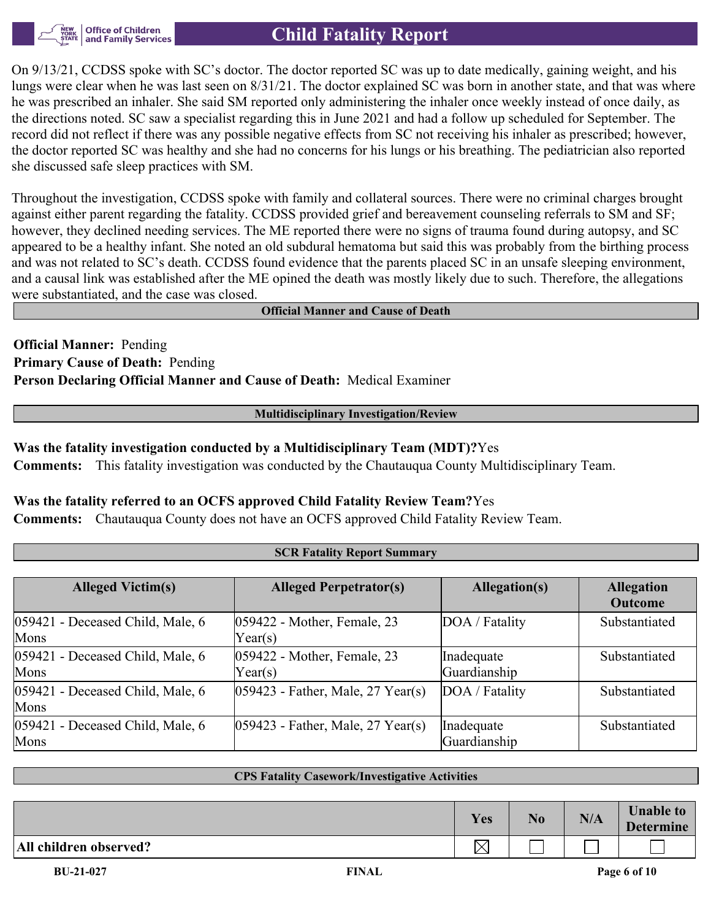

# **Child Fatality Report**

On 9/13/21, CCDSS spoke with SC's doctor. The doctor reported SC was up to date medically, gaining weight, and his lungs were clear when he was last seen on 8/31/21. The doctor explained SC was born in another state, and that was where he was prescribed an inhaler. She said SM reported only administering the inhaler once weekly instead of once daily, as the directions noted. SC saw a specialist regarding this in June 2021 and had a follow up scheduled for September. The record did not reflect if there was any possible negative effects from SC not receiving his inhaler as prescribed; however, the doctor reported SC was healthy and she had no concerns for his lungs or his breathing. The pediatrician also reported she discussed safe sleep practices with SM.

Throughout the investigation, CCDSS spoke with family and collateral sources. There were no criminal charges brought against either parent regarding the fatality. CCDSS provided grief and bereavement counseling referrals to SM and SF; however, they declined needing services. The ME reported there were no signs of trauma found during autopsy, and SC appeared to be a healthy infant. She noted an old subdural hematoma but said this was probably from the birthing process and was not related to SC's death. CCDSS found evidence that the parents placed SC in an unsafe sleeping environment, and a causal link was established after the ME opined the death was mostly likely due to such. Therefore, the allegations were substantiated, and the case was closed.

#### **Official Manner and Cause of Death**

**Official Manner:** Pending **Primary Cause of Death:** Pending **Person Declaring Official Manner and Cause of Death:** Medical Examiner

#### **Multidisciplinary Investigation/Review**

#### **Was the fatality investigation conducted by a Multidisciplinary Team (MDT)?**Yes

**Comments:** This fatality investigation was conducted by the Chautauqua County Multidisciplinary Team.

#### **Was the fatality referred to an OCFS approved Child Fatality Review Team?**Yes

**Comments:** Chautauqua County does not have an OCFS approved Child Fatality Review Team.

| <b>SCR Fatality Report Summary</b>       |                                                 |                            |                                     |  |  |
|------------------------------------------|-------------------------------------------------|----------------------------|-------------------------------------|--|--|
|                                          |                                                 |                            |                                     |  |  |
| <b>Alleged Victim(s)</b>                 | <b>Alleged Perpetrator(s)</b>                   | Allegation(s)              | <b>Allegation</b><br><b>Outcome</b> |  |  |
| 059421 - Deceased Child, Male, 6<br>Mons | 059422 - Mother, Female, 23<br>$\text{Year}(s)$ | DOA / Fatality             | Substantiated                       |  |  |
| 059421 - Deceased Child, Male, 6<br>Mons | 059422 - Mother, Female, 23<br>Year(s)          | Inadequate<br>Guardianship | Substantiated                       |  |  |
| 059421 - Deceased Child, Male, 6<br>Mons | $ 059423$ - Father, Male, 27 Year(s)            | DOA / Fatality             | Substantiated                       |  |  |
| 059421 - Deceased Child, Male, 6<br>Mons | $ 059423$ - Father, Male, 27 Year(s)            | Inadequate<br>Guardianship | Substantiated                       |  |  |

#### **CPS Fatality Casework/Investigative Activities**

|                        | Yes                      | N <sub>0</sub> | N/A | <b>Unable to</b><br><b>Determine</b> |
|------------------------|--------------------------|----------------|-----|--------------------------------------|
| All children observed? | $\hspace{0.5pt}\swarrow$ |                |     |                                      |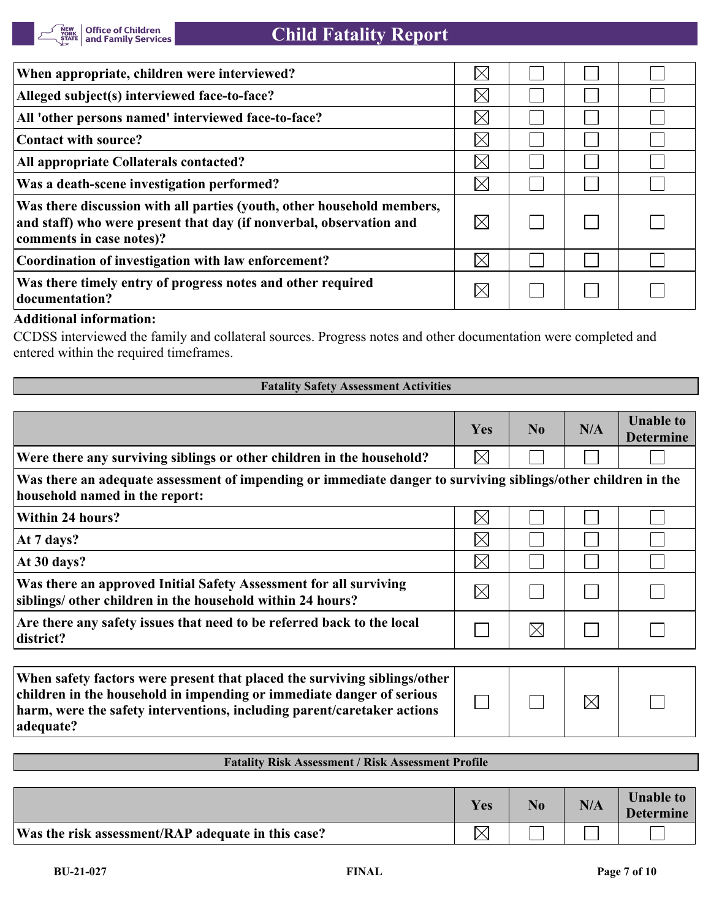| When appropriate, children were interviewed?                                                                                                                              | $\times$    |  |  |
|---------------------------------------------------------------------------------------------------------------------------------------------------------------------------|-------------|--|--|
| Alleged subject(s) interviewed face-to-face?                                                                                                                              | $\times$    |  |  |
| All 'other persons named' interviewed face-to-face?                                                                                                                       | $\boxtimes$ |  |  |
| Contact with source?                                                                                                                                                      | $\boxtimes$ |  |  |
| <b>All appropriate Collaterals contacted?</b>                                                                                                                             | $\boxtimes$ |  |  |
| Was a death-scene investigation performed?                                                                                                                                | $\boxtimes$ |  |  |
| Was there discussion with all parties (youth, other household members,<br>and staff) who were present that day (if nonverbal, observation and<br>comments in case notes)? | $\boxtimes$ |  |  |
| Coordination of investigation with law enforcement?                                                                                                                       | $\boxtimes$ |  |  |
| Was there timely entry of progress notes and other required<br>documentation?                                                                                             |             |  |  |

#### **Additional information:**

CCDSS interviewed the family and collateral sources. Progress notes and other documentation were completed and entered within the required timeframes.

#### **Fatality Safety Assessment Activities**

|                                                                                                                                                    | Yes         | N <sub>0</sub> | N/A | <b>Unable to</b><br><b>Determine</b> |
|----------------------------------------------------------------------------------------------------------------------------------------------------|-------------|----------------|-----|--------------------------------------|
| Were there any surviving siblings or other children in the household?                                                                              | $\boxtimes$ |                |     |                                      |
| Was there an adequate assessment of impending or immediate danger to surviving siblings/other children in the<br>household named in the report:    |             |                |     |                                      |
| Within 24 hours?                                                                                                                                   | $\times$    |                |     |                                      |
| At 7 days?                                                                                                                                         | $\boxtimes$ |                |     |                                      |
| At 30 days?                                                                                                                                        | $\times$    |                |     |                                      |
| Was there an approved Initial Safety Assessment for all surviving<br>siblings/ other children in the household within 24 hours?                    | $\boxtimes$ |                |     |                                      |
| Are there any safety issues that need to be referred back to the local<br>district?                                                                |             | $\boxtimes$    |     |                                      |
|                                                                                                                                                    |             |                |     |                                      |
| When safety factors were present that placed the surviving siblings/other<br>children in the household in impending or immediate danger of serious |             |                | ▽   |                                      |

| When safety factors were present that placed the surviving siblings/other  <br>children in the household in impending or immediate danger of serious |  |  |
|------------------------------------------------------------------------------------------------------------------------------------------------------|--|--|
| harm, were the safety interventions, including parent/caretaker actions                                                                              |  |  |
| adequate?                                                                                                                                            |  |  |

#### **Fatality Risk Assessment / Risk Assessment Profile**

|                                                    | Yes | N <sub>0</sub> | N/A | <b>Unable to</b><br><b>Determine</b> |
|----------------------------------------------------|-----|----------------|-----|--------------------------------------|
| Was the risk assessment/RAP adequate in this case? |     |                |     |                                      |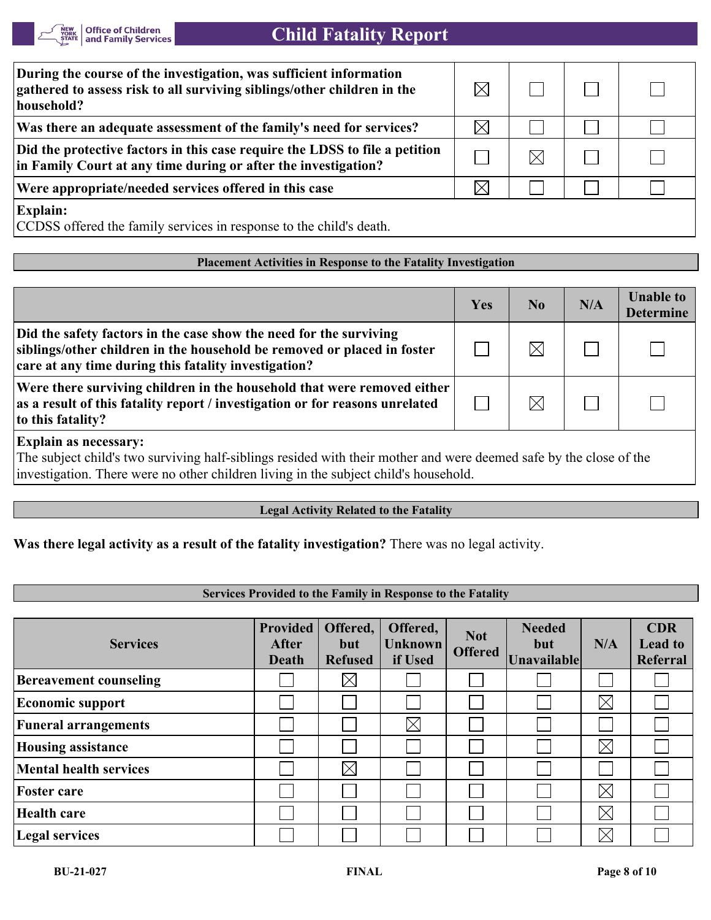

| During the course of the investigation, was sufficient information<br>gathered to assess risk to all surviving siblings/other children in the<br>household? |          |  |  |
|-------------------------------------------------------------------------------------------------------------------------------------------------------------|----------|--|--|
| Was there an adequate assessment of the family's need for services?                                                                                         | $\times$ |  |  |
| Did the protective factors in this case require the LDSS to file a petition<br>in Family Court at any time during or after the investigation?               |          |  |  |
| Were appropriate/needed services offered in this case                                                                                                       | $\times$ |  |  |
| <b>Explain:</b><br>CCDSS offered the family services in response to the child's death.                                                                      |          |  |  |

#### **Placement Activities in Response to the Fatality Investigation**

|                                                                                                                                                                                                       | Yes | N <sub>0</sub> | N/A | <b>Unable to</b><br><b>Determine</b> |
|-------------------------------------------------------------------------------------------------------------------------------------------------------------------------------------------------------|-----|----------------|-----|--------------------------------------|
| Did the safety factors in the case show the need for the surviving<br>siblings/other children in the household be removed or placed in foster<br>care at any time during this fatality investigation? |     |                |     |                                      |
| Were there surviving children in the household that were removed either<br>as a result of this fatality report / investigation or for reasons unrelated<br>to this fatality?                          |     | $\bowtie$      |     |                                      |

**Explain as necessary:**

The subject child's two surviving half-siblings resided with their mother and were deemed safe by the close of the investigation. There were no other children living in the subject child's household.

#### **Legal Activity Related to the Fatality**

**Was there legal activity as a result of the fatality investigation?** There was no legal activity.

#### **Services Provided to the Family in Response to the Fatality**

| <b>Services</b>               | <b>Provided</b><br><b>After</b><br>Death | Offered,<br>but<br><b>Refused</b> | Offered,<br><b>Unknown</b><br>if Used | <b>Not</b><br><b>Offered</b> | <b>Needed</b><br>but<br>Unavailable | N/A         | <b>CDR</b><br><b>Lead to</b><br>Referral |
|-------------------------------|------------------------------------------|-----------------------------------|---------------------------------------|------------------------------|-------------------------------------|-------------|------------------------------------------|
| <b>Bereavement counseling</b> |                                          | $\boxtimes$                       |                                       |                              |                                     |             |                                          |
| <b>Economic support</b>       |                                          |                                   |                                       |                              |                                     | $\boxtimes$ |                                          |
| <b>Funeral arrangements</b>   |                                          |                                   | $\boxtimes$                           |                              |                                     |             |                                          |
| <b>Housing assistance</b>     |                                          |                                   |                                       |                              |                                     | $\boxtimes$ |                                          |
| <b>Mental health services</b> |                                          | $\boxtimes$                       |                                       |                              |                                     |             |                                          |
| <b>Foster care</b>            |                                          |                                   |                                       |                              |                                     | $\boxtimes$ |                                          |
| Health care                   |                                          |                                   |                                       |                              |                                     | $\boxtimes$ |                                          |
| Legal services                |                                          |                                   |                                       |                              |                                     | $\boxtimes$ |                                          |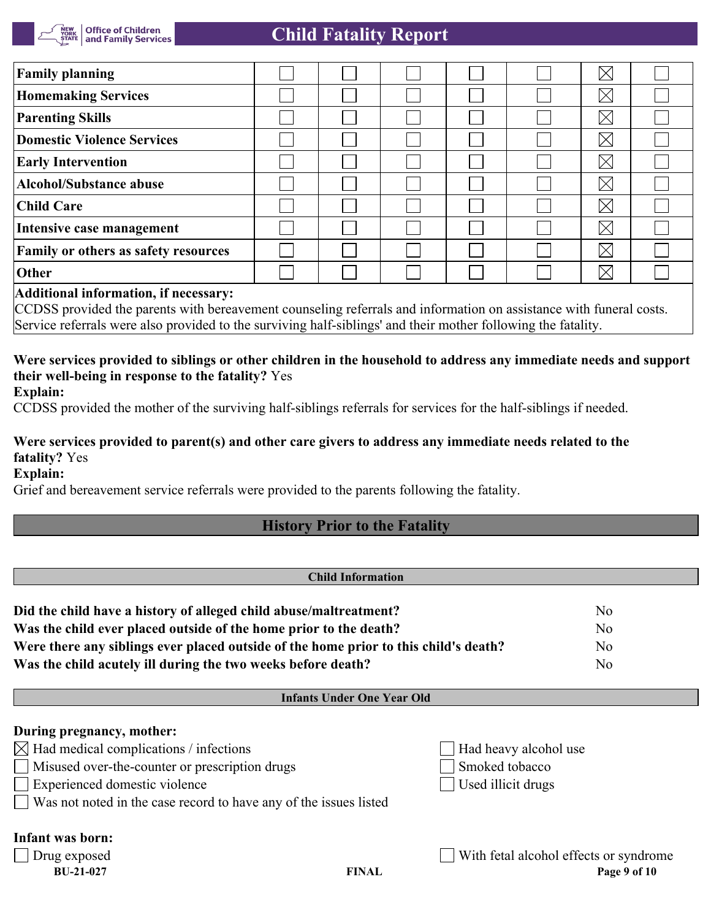

# **Child Fatality Report**

| <b>Family planning</b>                                                                                                                                                                                                                                                                                                             |  |  |  |  |  | $\bar{\bowtie}$ |  |
|------------------------------------------------------------------------------------------------------------------------------------------------------------------------------------------------------------------------------------------------------------------------------------------------------------------------------------|--|--|--|--|--|-----------------|--|
| <b>Homemaking Services</b>                                                                                                                                                                                                                                                                                                         |  |  |  |  |  | $\boxtimes$     |  |
| <b>Parenting Skills</b>                                                                                                                                                                                                                                                                                                            |  |  |  |  |  | $\boxtimes$     |  |
| Domestic Violence Services                                                                                                                                                                                                                                                                                                         |  |  |  |  |  | $\boxtimes$     |  |
| <b>Early Intervention</b>                                                                                                                                                                                                                                                                                                          |  |  |  |  |  | $\boxtimes$     |  |
| Alcohol/Substance abuse                                                                                                                                                                                                                                                                                                            |  |  |  |  |  | $\boxtimes$     |  |
| <b>Child Care</b>                                                                                                                                                                                                                                                                                                                  |  |  |  |  |  | $\boxtimes$     |  |
| Intensive case management                                                                                                                                                                                                                                                                                                          |  |  |  |  |  | $\boxtimes$     |  |
| <b>Family or others as safety resources</b>                                                                                                                                                                                                                                                                                        |  |  |  |  |  | $\boxtimes$     |  |
| Other                                                                                                                                                                                                                                                                                                                              |  |  |  |  |  | $\boxtimes$     |  |
| $\overline{a}$ and $\overline{a}$ and $\overline{a}$ and $\overline{a}$ and $\overline{a}$ and $\overline{a}$ and $\overline{a}$ and $\overline{a}$ and $\overline{a}$ and $\overline{a}$ and $\overline{a}$ and $\overline{a}$ and $\overline{a}$ and $\overline{a}$ and $\overline{a}$ and $\overline{a}$ and $\overline{a}$ and |  |  |  |  |  |                 |  |

#### **Additional information, if necessary:**

CCDSS provided the parents with bereavement counseling referrals and information on assistance with funeral costs. Service referrals were also provided to the surviving half-siblings' and their mother following the fatality.

# **Were services provided to siblings or other children in the household to address any immediate needs and support their well-being in response to the fatality?** Yes

**Explain:**

CCDSS provided the mother of the surviving half-siblings referrals for services for the half-siblings if needed.

### **Were services provided to parent(s) and other care givers to address any immediate needs related to the fatality?** Yes

**Explain:**

Grief and bereavement service referrals were provided to the parents following the fatality.

# **History Prior to the Fatality**

# **Child Information Did the child have a history of alleged child abuse/maltreatment?** No **Was the child ever placed outside of the home prior to the death?** No **Were there any siblings ever placed outside of the home prior to this child's death?** No **Was the child acutely ill during the two weeks before death?** No

#### **Infants Under One Year Old**

| During pregnancy, mother:<br>$\boxtimes$ Had medical complications / infections<br>Misused over-the-counter or prescription drugs<br>Experienced domestic violence<br>Was not noted in the case record to have any of the issues listed |              | Had heavy alcohol use<br>Smoked tobacco<br>Used illicit drugs |
|-----------------------------------------------------------------------------------------------------------------------------------------------------------------------------------------------------------------------------------------|--------------|---------------------------------------------------------------|
| Infant was born:<br>  Drug exposed<br><b>BU-21-027</b>                                                                                                                                                                                  | <b>FINAL</b> | With fetal alcohol effects or syndrome<br>Page 9 of 10        |